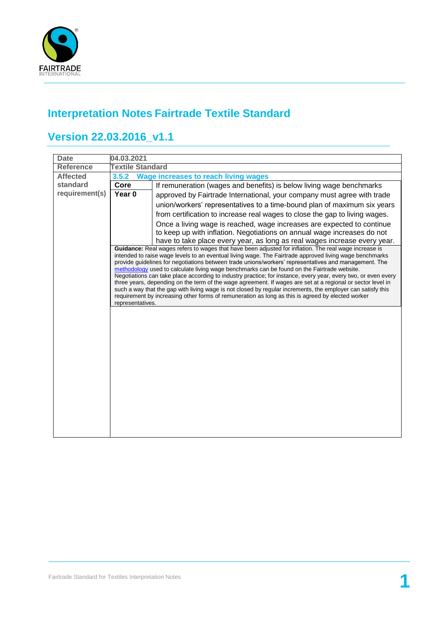

## **Interpretation Notes Fairtrade Textile Standard**

## **Version 22.03.2016\_v1.1**

| <b>Date</b>      | 04.03.2021                                                                                                                                                                                                       |                                                                             |  |
|------------------|------------------------------------------------------------------------------------------------------------------------------------------------------------------------------------------------------------------|-----------------------------------------------------------------------------|--|
| <b>Reference</b> | <b>Textile Standard</b>                                                                                                                                                                                          |                                                                             |  |
| <b>Affected</b>  | <b>Wage increases to reach living wages</b><br>3.5.2                                                                                                                                                             |                                                                             |  |
| standard         | Core                                                                                                                                                                                                             | If remuneration (wages and benefits) is below living wage benchmarks        |  |
| requirement(s)   | Year 0                                                                                                                                                                                                           | approved by Fairtrade International, your company must agree with trade     |  |
|                  |                                                                                                                                                                                                                  | union/workers' representatives to a time-bound plan of maximum six years    |  |
|                  |                                                                                                                                                                                                                  | from certification to increase real wages to close the gap to living wages. |  |
|                  |                                                                                                                                                                                                                  | Once a living wage is reached, wage increases are expected to continue      |  |
|                  |                                                                                                                                                                                                                  | to keep up with inflation. Negotiations on annual wage increases do not     |  |
|                  |                                                                                                                                                                                                                  | have to take place every year, as long as real wages increase every year.   |  |
|                  | Guidance: Real wages refers to wages that have been adjusted for inflation. The real wage increase is<br>intended to raise wage levels to an eventual living wage. The Fairtrade approved living wage benchmarks |                                                                             |  |
|                  | provide quidelines for negotiations between trade unions/workers' representatives and management. The                                                                                                            |                                                                             |  |
|                  | methodology used to calculate living wage benchmarks can be found on the Fairtrade website.<br>Negotiations can take place according to industry practice; for instance, every year, every two, or even every    |                                                                             |  |
|                  | three years, depending on the term of the wage agreement. If wages are set at a regional or sector level in                                                                                                      |                                                                             |  |
|                  | such a way that the gap with living wage is not closed by regular increments, the employer can satisfy this                                                                                                      |                                                                             |  |
|                  | requirement by increasing other forms of remuneration as long as this is agreed by elected worker<br>representatives.                                                                                            |                                                                             |  |
|                  |                                                                                                                                                                                                                  |                                                                             |  |
|                  |                                                                                                                                                                                                                  |                                                                             |  |
|                  |                                                                                                                                                                                                                  |                                                                             |  |
|                  |                                                                                                                                                                                                                  |                                                                             |  |
|                  |                                                                                                                                                                                                                  |                                                                             |  |
|                  |                                                                                                                                                                                                                  |                                                                             |  |
|                  |                                                                                                                                                                                                                  |                                                                             |  |
|                  |                                                                                                                                                                                                                  |                                                                             |  |
|                  |                                                                                                                                                                                                                  |                                                                             |  |
|                  |                                                                                                                                                                                                                  |                                                                             |  |
|                  |                                                                                                                                                                                                                  |                                                                             |  |
|                  |                                                                                                                                                                                                                  |                                                                             |  |
|                  |                                                                                                                                                                                                                  |                                                                             |  |
|                  |                                                                                                                                                                                                                  |                                                                             |  |